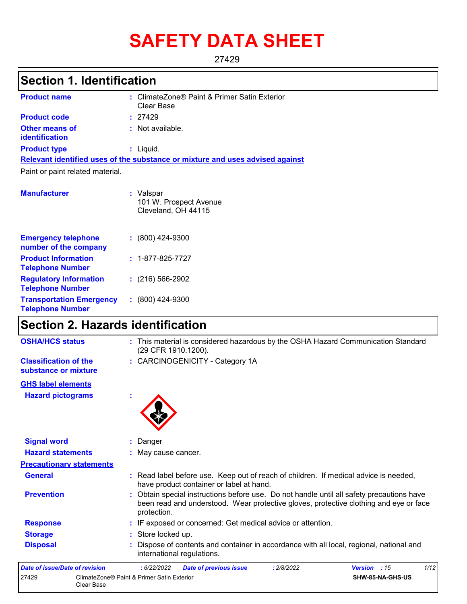# **SAFETY DATA SHEET**

27429

## **Section 1. Identification**

| <b>Product name</b>                            | : ClimateZone® Paint & Primer Satin Exterior<br>Clear Base                    |
|------------------------------------------------|-------------------------------------------------------------------------------|
| <b>Product code</b>                            | : 27429                                                                       |
| <b>Other means of</b><br><b>identification</b> | : Not available.                                                              |
| <b>Product type</b>                            | : Liquid.                                                                     |
|                                                | Relevant identified uses of the substance or mixture and uses advised against |
| Paint or paint related material.               |                                                                               |
| <b>Manufacturer</b>                            | : Valspar<br>101 W. Prospect Avenue<br>Cleveland, OH 44115                    |
|                                                |                                                                               |

| <b>Emergency telephone</b><br>number of the company        | $: (800)$ 424-9300       |
|------------------------------------------------------------|--------------------------|
| <b>Product Information</b><br><b>Telephone Number</b>      | $: 1 - 877 - 825 - 7727$ |
| <b>Regulatory Information</b><br><b>Telephone Number</b>   | $(216)$ 566-2902         |
| <b>Transportation Emergency</b><br><b>Telephone Number</b> | $: (800)$ 424-9300       |

## **Section 2. Hazards identification**

| <b>OSHA/HCS status</b>                               | : This material is considered hazardous by the OSHA Hazard Communication Standard<br>(29 CFR 1910.1200).                                                                                          |
|------------------------------------------------------|---------------------------------------------------------------------------------------------------------------------------------------------------------------------------------------------------|
| <b>Classification of the</b><br>substance or mixture | : CARCINOGENICITY - Category 1A                                                                                                                                                                   |
| <b>GHS label elements</b>                            |                                                                                                                                                                                                   |
| <b>Hazard pictograms</b>                             |                                                                                                                                                                                                   |
| <b>Signal word</b>                                   | : Danger                                                                                                                                                                                          |
| <b>Hazard statements</b>                             | : May cause cancer.                                                                                                                                                                               |
| <b>Precautionary statements</b>                      |                                                                                                                                                                                                   |
| <b>General</b>                                       | : Read label before use. Keep out of reach of children. If medical advice is needed,<br>have product container or label at hand.                                                                  |
| <b>Prevention</b>                                    | : Obtain special instructions before use. Do not handle until all safety precautions have<br>been read and understood. Wear protective gloves, protective clothing and eye or face<br>protection. |
| <b>Response</b>                                      | : IF exposed or concerned: Get medical advice or attention.                                                                                                                                       |
| <b>Storage</b>                                       | Store locked up.                                                                                                                                                                                  |
| <b>Disposal</b>                                      | Dispose of contents and container in accordance with all local, regional, national and<br>international regulations.                                                                              |
| Date of issue/Date of revision                       | 1/12<br>: 6/22/2022<br><b>Date of previous issue</b><br>Version : 15<br>: 2/8/2022                                                                                                                |
| 27429<br>Clear Base                                  | ClimateZone® Paint & Primer Satin Exterior<br>SHW-85-NA-GHS-US                                                                                                                                    |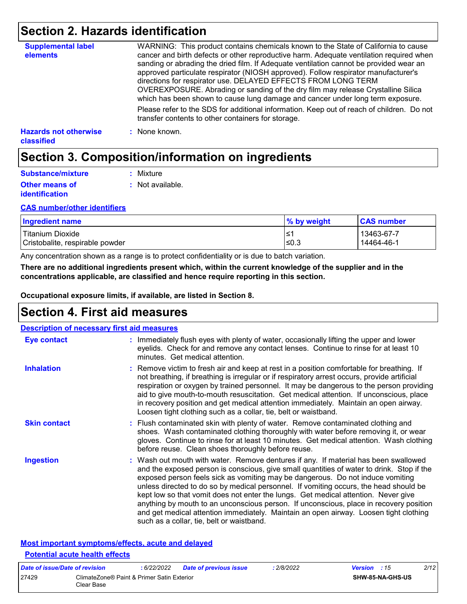## **Section 2. Hazards identification**

| <b>Supplemental label</b><br>elements             | WARNING: This product contains chemicals known to the State of California to cause<br>cancer and birth defects or other reproductive harm. Adequate ventilation required when<br>sanding or abrading the dried film. If Adequate ventilation cannot be provided wear an<br>approved particulate respirator (NIOSH approved). Follow respirator manufacturer's<br>directions for respirator use. DELAYED EFFECTS FROM LONG TERM<br>OVEREXPOSURE. Abrading or sanding of the dry film may release Crystalline Silica<br>which has been shown to cause lung damage and cancer under long term exposure. |
|---------------------------------------------------|------------------------------------------------------------------------------------------------------------------------------------------------------------------------------------------------------------------------------------------------------------------------------------------------------------------------------------------------------------------------------------------------------------------------------------------------------------------------------------------------------------------------------------------------------------------------------------------------------|
|                                                   | Please refer to the SDS for additional information. Keep out of reach of children. Do not<br>transfer contents to other containers for storage.                                                                                                                                                                                                                                                                                                                                                                                                                                                      |
| <b>Hazards not otherwise</b><br><b>classified</b> | : None known.                                                                                                                                                                                                                                                                                                                                                                                                                                                                                                                                                                                        |

## **Section 3. Composition/information on ingredients**

| Substance/mixture                              | : Mixture        |
|------------------------------------------------|------------------|
| <b>Other means of</b><br><i>identification</i> | : Not available. |

#### **CAS number/other identifiers**

| <b>Ingredient name</b>          | % by weight | <b>CAS number</b> |
|---------------------------------|-------------|-------------------|
| Titanium Dioxide                | '≥′         | 13463-67-7        |
| Cristobalite, respirable powder | ≤0.3        | 14464-46-1        |

Any concentration shown as a range is to protect confidentiality or is due to batch variation.

**There are no additional ingredients present which, within the current knowledge of the supplier and in the concentrations applicable, are classified and hence require reporting in this section.**

**Occupational exposure limits, if available, are listed in Section 8.**

### **Section 4. First aid measures**

| <b>Description of necessary first aid measures</b> |                                                                                                                                                                                                                                                                                                                                                                                                                                                                                                                                                                                                                                                                                   |  |  |  |  |
|----------------------------------------------------|-----------------------------------------------------------------------------------------------------------------------------------------------------------------------------------------------------------------------------------------------------------------------------------------------------------------------------------------------------------------------------------------------------------------------------------------------------------------------------------------------------------------------------------------------------------------------------------------------------------------------------------------------------------------------------------|--|--|--|--|
| Eye contact                                        | : Immediately flush eyes with plenty of water, occasionally lifting the upper and lower<br>eyelids. Check for and remove any contact lenses. Continue to rinse for at least 10<br>minutes. Get medical attention.                                                                                                                                                                                                                                                                                                                                                                                                                                                                 |  |  |  |  |
| <b>Inhalation</b>                                  | : Remove victim to fresh air and keep at rest in a position comfortable for breathing. If<br>not breathing, if breathing is irregular or if respiratory arrest occurs, provide artificial<br>respiration or oxygen by trained personnel. It may be dangerous to the person providing<br>aid to give mouth-to-mouth resuscitation. Get medical attention. If unconscious, place<br>in recovery position and get medical attention immediately. Maintain an open airway.<br>Loosen tight clothing such as a collar, tie, belt or waistband.                                                                                                                                         |  |  |  |  |
| <b>Skin contact</b>                                | : Flush contaminated skin with plenty of water. Remove contaminated clothing and<br>shoes. Wash contaminated clothing thoroughly with water before removing it, or wear<br>gloves. Continue to rinse for at least 10 minutes. Get medical attention. Wash clothing<br>before reuse. Clean shoes thoroughly before reuse.                                                                                                                                                                                                                                                                                                                                                          |  |  |  |  |
| <b>Ingestion</b>                                   | : Wash out mouth with water. Remove dentures if any. If material has been swallowed<br>and the exposed person is conscious, give small quantities of water to drink. Stop if the<br>exposed person feels sick as vomiting may be dangerous. Do not induce vomiting<br>unless directed to do so by medical personnel. If vomiting occurs, the head should be<br>kept low so that vomit does not enter the lungs. Get medical attention. Never give<br>anything by mouth to an unconscious person. If unconscious, place in recovery position<br>and get medical attention immediately. Maintain an open airway. Loosen tight clothing<br>such as a collar, tie, belt or waistband. |  |  |  |  |

#### **Most important symptoms/effects, acute and delayed Potential acute health effects**

| Date of issue/Date of revision |                                                          | : 6/22/2022 | <b>Date of previous issue</b> | : 2/8/2022 | <b>Version</b> : 15 |                         | 2/12 |
|--------------------------------|----------------------------------------------------------|-------------|-------------------------------|------------|---------------------|-------------------------|------|
| 27429                          | ClimateZone® Paint & Primer Satin Exterior<br>Clear Base |             |                               |            |                     | <b>SHW-85-NA-GHS-US</b> |      |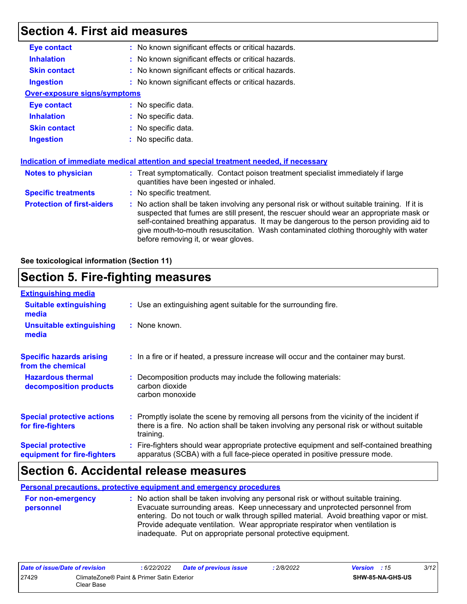## **Section 4. First aid measures**

| <b>Eye contact</b>                  | : No known significant effects or critical hazards.                                                                                                                                                                                                                                                                                                                                                             |  |  |  |
|-------------------------------------|-----------------------------------------------------------------------------------------------------------------------------------------------------------------------------------------------------------------------------------------------------------------------------------------------------------------------------------------------------------------------------------------------------------------|--|--|--|
| <b>Inhalation</b>                   | : No known significant effects or critical hazards.                                                                                                                                                                                                                                                                                                                                                             |  |  |  |
| <b>Skin contact</b>                 | : No known significant effects or critical hazards.                                                                                                                                                                                                                                                                                                                                                             |  |  |  |
| <b>Ingestion</b>                    | : No known significant effects or critical hazards.                                                                                                                                                                                                                                                                                                                                                             |  |  |  |
| <b>Over-exposure signs/symptoms</b> |                                                                                                                                                                                                                                                                                                                                                                                                                 |  |  |  |
| <b>Eye contact</b>                  | : No specific data.                                                                                                                                                                                                                                                                                                                                                                                             |  |  |  |
| <b>Inhalation</b>                   | : No specific data.                                                                                                                                                                                                                                                                                                                                                                                             |  |  |  |
| <b>Skin contact</b>                 | : No specific data.                                                                                                                                                                                                                                                                                                                                                                                             |  |  |  |
| <b>Ingestion</b>                    | : No specific data.                                                                                                                                                                                                                                                                                                                                                                                             |  |  |  |
|                                     |                                                                                                                                                                                                                                                                                                                                                                                                                 |  |  |  |
|                                     | Indication of immediate medical attention and special treatment needed, if necessary                                                                                                                                                                                                                                                                                                                            |  |  |  |
| Notes to physician                  | : Treat symptomatically. Contact poison treatment specialist immediately if large<br>quantities have been ingested or inhaled.                                                                                                                                                                                                                                                                                  |  |  |  |
| <b>Specific treatments</b>          | : No specific treatment.                                                                                                                                                                                                                                                                                                                                                                                        |  |  |  |
| <b>Protection of first-aiders</b>   | : No action shall be taken involving any personal risk or without suitable training. If it is<br>suspected that fumes are still present, the rescuer should wear an appropriate mask or<br>self-contained breathing apparatus. It may be dangerous to the person providing aid to<br>give mouth-to-mouth resuscitation. Wash contaminated clothing thoroughly with water<br>before removing it, or wear gloves. |  |  |  |

#### **See toxicological information (Section 11)**

## **Section 5. Fire-fighting measures**

| <b>Extinguishing media</b>                               |                                                                                                                                                                                                     |  |
|----------------------------------------------------------|-----------------------------------------------------------------------------------------------------------------------------------------------------------------------------------------------------|--|
| <b>Suitable extinguishing</b><br>media                   | : Use an extinguishing agent suitable for the surrounding fire.                                                                                                                                     |  |
| <b>Unsuitable extinguishing</b><br>media                 | : None known.                                                                                                                                                                                       |  |
| <b>Specific hazards arising</b><br>from the chemical     | : In a fire or if heated, a pressure increase will occur and the container may burst.                                                                                                               |  |
| <b>Hazardous thermal</b><br>decomposition products       | Decomposition products may include the following materials:<br>carbon dioxide<br>carbon monoxide                                                                                                    |  |
| <b>Special protective actions</b><br>for fire-fighters   | : Promptly isolate the scene by removing all persons from the vicinity of the incident if<br>there is a fire. No action shall be taken involving any personal risk or without suitable<br>training. |  |
| <b>Special protective</b><br>equipment for fire-fighters | : Fire-fighters should wear appropriate protective equipment and self-contained breathing<br>apparatus (SCBA) with a full face-piece operated in positive pressure mode.                            |  |

### **Section 6. Accidental release measures**

**Personal precautions, protective equipment and emergency procedures**

**:** No action shall be taken involving any personal risk or without suitable training. Evacuate surrounding areas. Keep unnecessary and unprotected personnel from entering. Do not touch or walk through spilled material. Avoid breathing vapor or mist. Provide adequate ventilation. Wear appropriate respirator when ventilation is inadequate. Put on appropriate personal protective equipment. **For non-emergency personnel**

| Date of issue/Date of revision |                                                          | 6/22/2022 | <b>Date of previous issue</b> | : 2/8/2022 | <b>Version</b> : 15 |                  | 3/12 |
|--------------------------------|----------------------------------------------------------|-----------|-------------------------------|------------|---------------------|------------------|------|
| 27429                          | ClimateZone® Paint & Primer Satin Exterior<br>Clear Base |           |                               |            |                     | SHW-85-NA-GHS-US |      |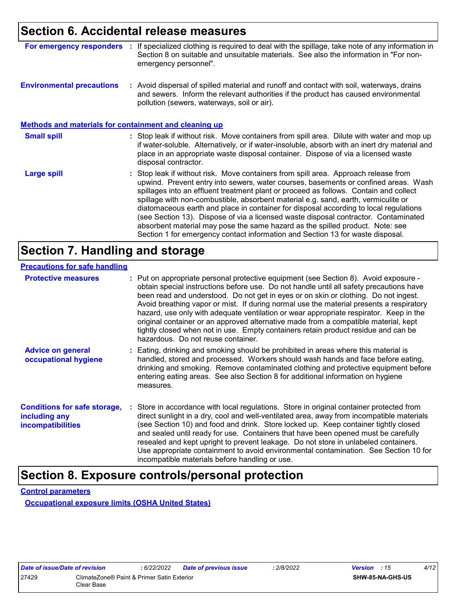### **Section 6. Accidental release measures**

| For emergency responders                                     | If specialized clothing is required to deal with the spillage, take note of any information in<br>Section 8 on suitable and unsuitable materials. See also the information in "For non-<br>emergency personnel".                                                                                                                                                                                                                                                                                                                                                                                                                                                                                             |
|--------------------------------------------------------------|--------------------------------------------------------------------------------------------------------------------------------------------------------------------------------------------------------------------------------------------------------------------------------------------------------------------------------------------------------------------------------------------------------------------------------------------------------------------------------------------------------------------------------------------------------------------------------------------------------------------------------------------------------------------------------------------------------------|
| <b>Environmental precautions</b>                             | : Avoid dispersal of spilled material and runoff and contact with soil, waterways, drains<br>and sewers. Inform the relevant authorities if the product has caused environmental<br>pollution (sewers, waterways, soil or air).                                                                                                                                                                                                                                                                                                                                                                                                                                                                              |
| <b>Methods and materials for containment and cleaning up</b> |                                                                                                                                                                                                                                                                                                                                                                                                                                                                                                                                                                                                                                                                                                              |
| <b>Small spill</b>                                           | : Stop leak if without risk. Move containers from spill area. Dilute with water and mop up<br>if water-soluble. Alternatively, or if water-insoluble, absorb with an inert dry material and<br>place in an appropriate waste disposal container. Dispose of via a licensed waste<br>disposal contractor.                                                                                                                                                                                                                                                                                                                                                                                                     |
| Large spill                                                  | : Stop leak if without risk. Move containers from spill area. Approach release from<br>upwind. Prevent entry into sewers, water courses, basements or confined areas. Wash<br>spillages into an effluent treatment plant or proceed as follows. Contain and collect<br>spillage with non-combustible, absorbent material e.g. sand, earth, vermiculite or<br>diatomaceous earth and place in container for disposal according to local regulations<br>(see Section 13). Dispose of via a licensed waste disposal contractor. Contaminated<br>absorbent material may pose the same hazard as the spilled product. Note: see<br>Section 1 for emergency contact information and Section 13 for waste disposal. |

## **Section 7. Handling and storage**

#### **Precautions for safe handling**

| <b>Protective measures</b>                                                       | : Put on appropriate personal protective equipment (see Section 8). Avoid exposure -<br>obtain special instructions before use. Do not handle until all safety precautions have<br>been read and understood. Do not get in eyes or on skin or clothing. Do not ingest.<br>Avoid breathing vapor or mist. If during normal use the material presents a respiratory<br>hazard, use only with adequate ventilation or wear appropriate respirator. Keep in the<br>original container or an approved alternative made from a compatible material, kept<br>tightly closed when not in use. Empty containers retain product residue and can be<br>hazardous. Do not reuse container. |
|----------------------------------------------------------------------------------|--------------------------------------------------------------------------------------------------------------------------------------------------------------------------------------------------------------------------------------------------------------------------------------------------------------------------------------------------------------------------------------------------------------------------------------------------------------------------------------------------------------------------------------------------------------------------------------------------------------------------------------------------------------------------------|
| <b>Advice on general</b><br>occupational hygiene                                 | : Eating, drinking and smoking should be prohibited in areas where this material is<br>handled, stored and processed. Workers should wash hands and face before eating,<br>drinking and smoking. Remove contaminated clothing and protective equipment before<br>entering eating areas. See also Section 8 for additional information on hygiene<br>measures.                                                                                                                                                                                                                                                                                                                  |
| <b>Conditions for safe storage,</b><br>including any<br><b>incompatibilities</b> | : Store in accordance with local regulations. Store in original container protected from<br>direct sunlight in a dry, cool and well-ventilated area, away from incompatible materials<br>(see Section 10) and food and drink. Store locked up. Keep container tightly closed<br>and sealed until ready for use. Containers that have been opened must be carefully<br>resealed and kept upright to prevent leakage. Do not store in unlabeled containers.<br>Use appropriate containment to avoid environmental contamination. See Section 10 for<br>incompatible materials before handling or use.                                                                            |

## **Section 8. Exposure controls/personal protection**

**Control parameters**

**Occupational exposure limits (OSHA United States)**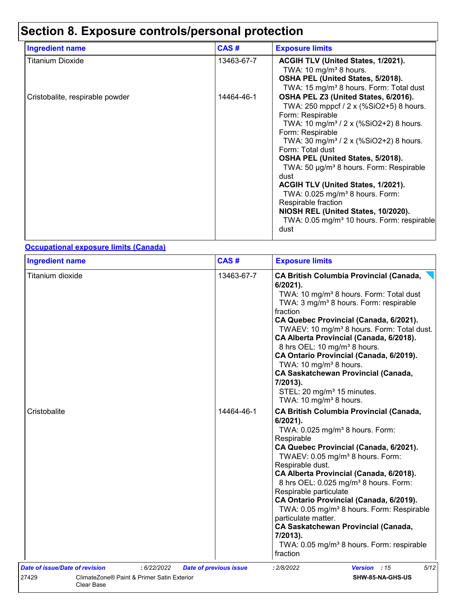## **Section 8. Exposure controls/personal protection**

| <b>Ingredient name</b>          | CAS#       | <b>Exposure limits</b>                                                                                                                                                                                                                                                                                                                                                                                                                                                                                                                                                           |
|---------------------------------|------------|----------------------------------------------------------------------------------------------------------------------------------------------------------------------------------------------------------------------------------------------------------------------------------------------------------------------------------------------------------------------------------------------------------------------------------------------------------------------------------------------------------------------------------------------------------------------------------|
| Titanium Dioxide                | 13463-67-7 | ACGIH TLV (United States, 1/2021).<br>TWA: 10 mg/m <sup>3</sup> 8 hours.<br>OSHA PEL (United States, 5/2018).<br>TWA: 15 mg/m <sup>3</sup> 8 hours. Form: Total dust                                                                                                                                                                                                                                                                                                                                                                                                             |
| Cristobalite, respirable powder | 14464-46-1 | OSHA PEL Z3 (United States, 6/2016).<br>TWA: 250 mppcf / 2 x (%SiO2+5) 8 hours.<br>Form: Respirable<br>TWA: 10 mg/m <sup>3</sup> / 2 x (%SiO2+2) 8 hours.<br>Form: Respirable<br>TWA: 30 mg/m <sup>3</sup> / 2 x (%SiO2+2) 8 hours.<br>Form: Total dust<br>OSHA PEL (United States, 5/2018).<br>TWA: 50 µg/m <sup>3</sup> 8 hours. Form: Respirable<br>dust<br>ACGIH TLV (United States, 1/2021).<br>TWA: 0.025 mg/m <sup>3</sup> 8 hours. Form:<br>Respirable fraction<br>NIOSH REL (United States, 10/2020).<br>TWA: 0.05 mg/m <sup>3</sup> 10 hours. Form: respirable<br>dust |

#### **Occupational exposure limits (Canada)**

| <b>Ingredient name</b>         |                                            | CAS#                          | <b>Exposure limits</b>                                                                                                                                                                                                                                                                                                                                                                                                                                                                                                                                                                                                       |  |  |
|--------------------------------|--------------------------------------------|-------------------------------|------------------------------------------------------------------------------------------------------------------------------------------------------------------------------------------------------------------------------------------------------------------------------------------------------------------------------------------------------------------------------------------------------------------------------------------------------------------------------------------------------------------------------------------------------------------------------------------------------------------------------|--|--|
| Titanium dioxide               |                                            | 13463-67-7                    | <b>CA British Columbia Provincial (Canada,</b><br>6/2021).<br>TWA: 10 mg/m <sup>3</sup> 8 hours. Form: Total dust<br>TWA: 3 mg/m <sup>3</sup> 8 hours. Form: respirable<br>fraction<br>CA Quebec Provincial (Canada, 6/2021).<br>TWAEV: 10 mg/m <sup>3</sup> 8 hours. Form: Total dust.<br>CA Alberta Provincial (Canada, 6/2018).<br>8 hrs OEL: 10 mg/m <sup>3</sup> 8 hours.<br>CA Ontario Provincial (Canada, 6/2019).<br>TWA: 10 mg/m <sup>3</sup> 8 hours.<br><b>CA Saskatchewan Provincial (Canada,</b><br>7/2013).<br>STEL: 20 mg/m <sup>3</sup> 15 minutes.<br>TWA: 10 mg/m <sup>3</sup> 8 hours.                    |  |  |
| Cristobalite                   |                                            | 14464-46-1                    | <b>CA British Columbia Provincial (Canada,</b><br>$6/2021$ ).<br>TWA: 0.025 mg/m <sup>3</sup> 8 hours. Form:<br>Respirable<br>CA Quebec Provincial (Canada, 6/2021).<br>TWAEV: 0.05 mg/m <sup>3</sup> 8 hours. Form:<br>Respirable dust.<br>CA Alberta Provincial (Canada, 6/2018).<br>8 hrs OEL: 0.025 mg/m <sup>3</sup> 8 hours. Form:<br>Respirable particulate<br>CA Ontario Provincial (Canada, 6/2019).<br>TWA: 0.05 mg/m <sup>3</sup> 8 hours. Form: Respirable<br>particulate matter.<br><b>CA Saskatchewan Provincial (Canada,</b><br>7/2013).<br>TWA: 0.05 mg/m <sup>3</sup> 8 hours. Form: respirable<br>fraction |  |  |
| Date of issue/Date of revision | : 6/22/2022                                | <b>Date of previous issue</b> | 5/12<br>Version : 15<br>: 2/8/2022                                                                                                                                                                                                                                                                                                                                                                                                                                                                                                                                                                                           |  |  |
| 27429<br>Clear Base            | ClimateZone® Paint & Primer Satin Exterior |                               | SHW-85-NA-GHS-US                                                                                                                                                                                                                                                                                                                                                                                                                                                                                                                                                                                                             |  |  |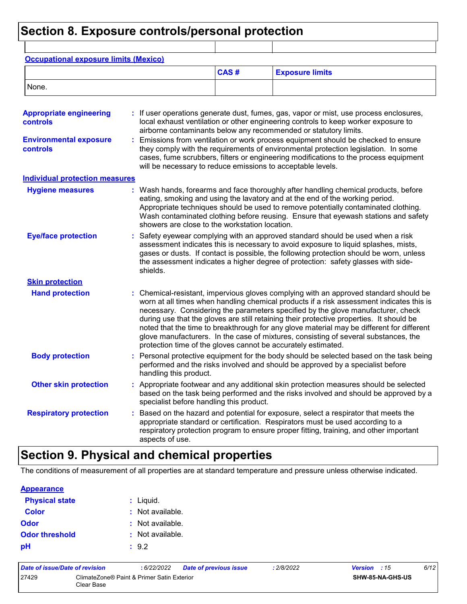## **Section 8. Exposure controls/personal protection**

| <b>Occupational exposure limits (Mexico)</b>      |                                                             |      |                                                                                                                                                                                                                                                                                                                                                                                                                                                                                                                                                                                                                      |
|---------------------------------------------------|-------------------------------------------------------------|------|----------------------------------------------------------------------------------------------------------------------------------------------------------------------------------------------------------------------------------------------------------------------------------------------------------------------------------------------------------------------------------------------------------------------------------------------------------------------------------------------------------------------------------------------------------------------------------------------------------------------|
|                                                   |                                                             | CAS# | <b>Exposure limits</b>                                                                                                                                                                                                                                                                                                                                                                                                                                                                                                                                                                                               |
| None.                                             |                                                             |      |                                                                                                                                                                                                                                                                                                                                                                                                                                                                                                                                                                                                                      |
| <b>Appropriate engineering</b><br><b>controls</b> |                                                             |      | : If user operations generate dust, fumes, gas, vapor or mist, use process enclosures,<br>local exhaust ventilation or other engineering controls to keep worker exposure to<br>airborne contaminants below any recommended or statutory limits.                                                                                                                                                                                                                                                                                                                                                                     |
| <b>Environmental exposure</b><br>controls         | will be necessary to reduce emissions to acceptable levels. |      | Emissions from ventilation or work process equipment should be checked to ensure<br>they comply with the requirements of environmental protection legislation. In some<br>cases, fume scrubbers, filters or engineering modifications to the process equipment                                                                                                                                                                                                                                                                                                                                                       |
| <b>Individual protection measures</b>             |                                                             |      |                                                                                                                                                                                                                                                                                                                                                                                                                                                                                                                                                                                                                      |
| <b>Hygiene measures</b>                           | showers are close to the workstation location.              |      | : Wash hands, forearms and face thoroughly after handling chemical products, before<br>eating, smoking and using the lavatory and at the end of the working period.<br>Appropriate techniques should be used to remove potentially contaminated clothing.<br>Wash contaminated clothing before reusing. Ensure that eyewash stations and safety                                                                                                                                                                                                                                                                      |
| <b>Eye/face protection</b>                        | shields.                                                    |      | Safety eyewear complying with an approved standard should be used when a risk<br>assessment indicates this is necessary to avoid exposure to liquid splashes, mists,<br>gases or dusts. If contact is possible, the following protection should be worn, unless<br>the assessment indicates a higher degree of protection: safety glasses with side-                                                                                                                                                                                                                                                                 |
| <b>Skin protection</b>                            |                                                             |      |                                                                                                                                                                                                                                                                                                                                                                                                                                                                                                                                                                                                                      |
| <b>Hand protection</b>                            |                                                             |      | Chemical-resistant, impervious gloves complying with an approved standard should be<br>worn at all times when handling chemical products if a risk assessment indicates this is<br>necessary. Considering the parameters specified by the glove manufacturer, check<br>during use that the gloves are still retaining their protective properties. It should be<br>noted that the time to breakthrough for any glove material may be different for different<br>glove manufacturers. In the case of mixtures, consisting of several substances, the<br>protection time of the gloves cannot be accurately estimated. |
| <b>Body protection</b>                            | handling this product.                                      |      | Personal protective equipment for the body should be selected based on the task being<br>performed and the risks involved and should be approved by a specialist before                                                                                                                                                                                                                                                                                                                                                                                                                                              |
| <b>Other skin protection</b>                      | specialist before handling this product.                    |      | Appropriate footwear and any additional skin protection measures should be selected<br>based on the task being performed and the risks involved and should be approved by a                                                                                                                                                                                                                                                                                                                                                                                                                                          |
| <b>Respiratory protection</b>                     | aspects of use.                                             |      | Based on the hazard and potential for exposure, select a respirator that meets the<br>appropriate standard or certification. Respirators must be used according to a<br>respiratory protection program to ensure proper fitting, training, and other important                                                                                                                                                                                                                                                                                                                                                       |

## **Section 9. Physical and chemical properties**

The conditions of measurement of all properties are at standard temperature and pressure unless otherwise indicated.

#### **Appearance**

| <b>Physical state</b> | : Liquid.        |
|-----------------------|------------------|
| <b>Color</b>          | : Not available. |
| <b>Odor</b>           | : Not available. |
| <b>Odor threshold</b> | : Not available. |
| рH                    | : 9.2            |

| Date of issue/Date of revision |                                                          | : 6/22/2022 | <b>Date of previous issue</b> | : 2/8/2022 | <b>Version</b> : 15     | 6/12 |
|--------------------------------|----------------------------------------------------------|-------------|-------------------------------|------------|-------------------------|------|
| 27429                          | ClimateZone® Paint & Primer Satin Exterior<br>Clear Base |             |                               |            | <b>SHW-85-NA-GHS-US</b> |      |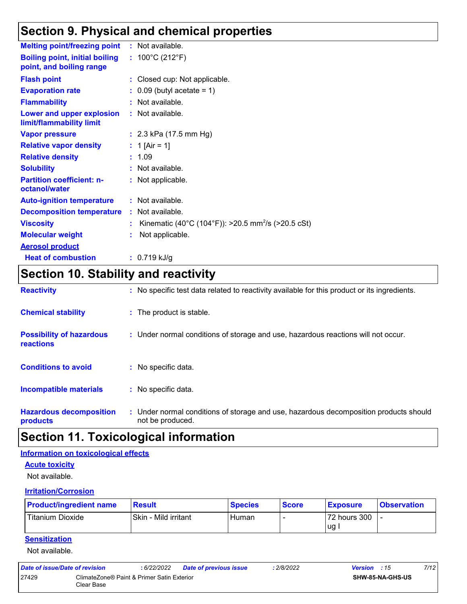## **Section 9. Physical and chemical properties**

| <b>Melting point/freezing point</b>                               | : Not available.                                               |
|-------------------------------------------------------------------|----------------------------------------------------------------|
| <b>Boiling point, initial boiling</b><br>point, and boiling range | : $100^{\circ}$ C (212 $^{\circ}$ F)                           |
| <b>Flash point</b>                                                | : Closed cup: Not applicable.                                  |
| <b>Evaporation rate</b>                                           | $\therefore$ 0.09 (butyl acetate = 1)                          |
| <b>Flammability</b>                                               | : Not available.                                               |
| Lower and upper explosion<br>limit/flammability limit             | : Not available.                                               |
| <b>Vapor pressure</b>                                             | : $2.3$ kPa (17.5 mm Hg)                                       |
| <b>Relative vapor density</b>                                     | : 1 [Air = 1]                                                  |
| <b>Relative density</b>                                           | : 1.09                                                         |
| <b>Solubility</b>                                                 | : Not available.                                               |
| <b>Partition coefficient: n-</b><br>octanol/water                 | : Not applicable.                                              |
| <b>Auto-ignition temperature</b>                                  | : Not available.                                               |
| <b>Decomposition temperature</b>                                  | : Not available.                                               |
| <b>Viscosity</b>                                                  | Kinematic (40°C (104°F)): >20.5 mm <sup>2</sup> /s (>20.5 cSt) |
| <b>Molecular weight</b>                                           | Not applicable.                                                |
| <b>Aerosol product</b>                                            |                                                                |
| <b>Heat of combustion</b>                                         | $: 0.719$ kJ/g                                                 |

## **Section 10. Stability and reactivity**

| <b>Reactivity</b>                            | : No specific test data related to reactivity available for this product or its ingredients.              |
|----------------------------------------------|-----------------------------------------------------------------------------------------------------------|
| <b>Chemical stability</b>                    | : The product is stable.                                                                                  |
| <b>Possibility of hazardous</b><br>reactions | : Under normal conditions of storage and use, hazardous reactions will not occur.                         |
| <b>Conditions to avoid</b>                   | : No specific data.                                                                                       |
| <b>Incompatible materials</b>                | : No specific data.                                                                                       |
| <b>Hazardous decomposition</b><br>products   | : Under normal conditions of storage and use, hazardous decomposition products should<br>not be produced. |

## **Section 11. Toxicological information**

#### **Information on toxicological effects**

#### **Acute toxicity**

Not available.

#### **Irritation/Corrosion**

| <b>Product/ingredient name</b> | <b>Result</b>        | <b>Species</b> | <b>Score</b> | <b>Exposure</b> | <b>Observation</b> |
|--------------------------------|----------------------|----------------|--------------|-----------------|--------------------|
| Titanium Dioxide               | Skin - Mild irritant | Human          |              | 72 hours 300    |                    |
|                                |                      |                |              | <b>ug</b>       |                    |

#### **Sensitization**

Not available.

| Date of issue/Date of revision |                                                          | : 6/22/2022 | <b>Date of previous issue</b> | : 2/8/2022 | <b>Version</b> : 15 | 7/12 |
|--------------------------------|----------------------------------------------------------|-------------|-------------------------------|------------|---------------------|------|
| 27429                          | ClimateZone® Paint & Primer Satin Exterior<br>Clear Base |             |                               |            | SHW-85-NA-GHS-US    |      |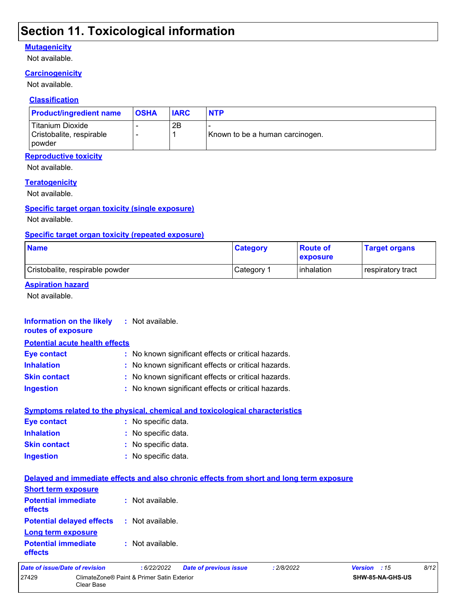## **Section 11. Toxicological information**

#### **Mutagenicity**

Not available.

#### **Carcinogenicity**

Not available.

#### **Classification**

| <b>Product/ingredient name</b>                                  | <b>OSHA</b> | <b>IARC</b> | <b>NTP</b>                      |
|-----------------------------------------------------------------|-------------|-------------|---------------------------------|
| Titanium Dioxide<br>Cristobalite, respirable<br><b>I</b> powder |             | 2B          | Known to be a human carcinogen. |

#### **Reproductive toxicity**

Not available.

#### **Teratogenicity**

Not available.

#### **Specific target organ toxicity (single exposure)**

Not available.

#### **Specific target organ toxicity (repeated exposure)**

| <b>Name</b>                     | <b>Category</b> | <b>Route of</b><br><b>exposure</b> | <b>Target organs</b> |
|---------------------------------|-----------------|------------------------------------|----------------------|
| Cristobalite, respirable powder | ∣Category ⊺     | l inhalation                       | respiratory tract    |

#### **Aspiration hazard**

Not available.

#### **Information on the likely routes of exposure Inhalation :** No known significant effects or critical hazards. **Ingestion :** No known significant effects or critical hazards. **Skin contact :** No known significant effects or critical hazards. **Eye contact :** No known significant effects or critical hazards. **:** Not available. **Potential acute health effects**

|                     | <b>Symptoms related to the physical, chemical and toxicological characteristics</b> |
|---------------------|-------------------------------------------------------------------------------------|
| <b>Eve contact</b>  | : No specific data.                                                                 |
| <b>Inhalation</b>   | : No specific data.                                                                 |
| <b>Skin contact</b> | : No specific data.                                                                 |
| Ingestion           | : No specific data.                                                                 |

| Date of issue/Date of revision                                                           | :6/22/2022       | <b>Date of previous issue</b> | : 2/8/2022 | Version : 15 | 8/12 |
|------------------------------------------------------------------------------------------|------------------|-------------------------------|------------|--------------|------|
| <b>Potential immediate</b><br>effects                                                    | : Not available. |                               |            |              |      |
| Long term exposure                                                                       |                  |                               |            |              |      |
| <b>Potential delayed effects</b>                                                         | : Not available. |                               |            |              |      |
| <b>Potential immediate</b><br><b>effects</b>                                             | : Not available. |                               |            |              |      |
| <b>Short term exposure</b>                                                               |                  |                               |            |              |      |
| Delayed and immediate effects and also chronic effects from short and long term exposure |                  |                               |            |              |      |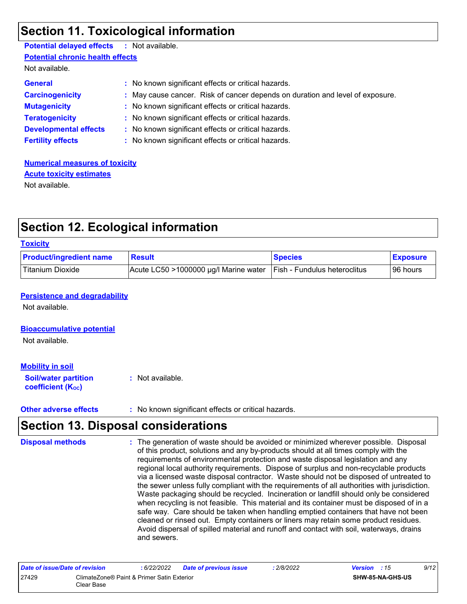## **Section 11. Toxicological information**

| <b>Potential delayed effects : Not available.</b> |                                                                               |
|---------------------------------------------------|-------------------------------------------------------------------------------|
| <b>Potential chronic health effects</b>           |                                                                               |
| Not available.                                    |                                                                               |
| <b>General</b>                                    | : No known significant effects or critical hazards.                           |
| <b>Carcinogenicity</b>                            | : May cause cancer. Risk of cancer depends on duration and level of exposure. |
| <b>Mutagenicity</b>                               | : No known significant effects or critical hazards.                           |
| <b>Teratogenicity</b>                             | : No known significant effects or critical hazards.                           |
| <b>Developmental effects</b>                      | : No known significant effects or critical hazards.                           |
| <b>Fertility effects</b>                          | : No known significant effects or critical hazards.                           |
|                                                   |                                                                               |

**Numerical measures of toxicity** Not available. **Acute toxicity estimates**

## **Section 12. Ecological information**

#### **Toxicity**

| <b>Product/ingredient name</b> | <b>Result</b>                         | <b>Species</b>                      | <b>Exposure</b> |
|--------------------------------|---------------------------------------|-------------------------------------|-----------------|
| <b>Titanium Dioxide</b>        | Acute LC50 >1000000 µg/l Marine water | <b>Fish - Fundulus heteroclitus</b> | 96 hours        |

#### **Persistence and degradability**

Not available.

#### **Bioaccumulative potential**

Not available.

#### **Mobility in soil**

**Soil/water partition coefficient (KOC) :** Not available.

**Other adverse effects :** No known significant effects or critical hazards.

## **Section 13. Disposal considerations**

The generation of waste should be avoided or minimized wherever possible. Disposal of this product, solutions and any by-products should at all times comply with the requirements of environmental protection and waste disposal legislation and any regional local authority requirements. Dispose of surplus and non-recyclable products via a licensed waste disposal contractor. Waste should not be disposed of untreated to the sewer unless fully compliant with the requirements of all authorities with jurisdiction. Waste packaging should be recycled. Incineration or landfill should only be considered when recycling is not feasible. This material and its container must be disposed of in a safe way. Care should be taken when handling emptied containers that have not been cleaned or rinsed out. Empty containers or liners may retain some product residues. Avoid dispersal of spilled material and runoff and contact with soil, waterways, drains and sewers. **Disposal methods :**

| Date of issue/Date of revision |                                                          | : 6/22/2022 | <b>Date of previous issue</b> | : 2/8/2022 | <b>Version</b> : 15     | 9/12 |
|--------------------------------|----------------------------------------------------------|-------------|-------------------------------|------------|-------------------------|------|
| 27429                          | ClimateZone® Paint & Primer Satin Exterior<br>Clear Base |             |                               |            | <b>SHW-85-NA-GHS-US</b> |      |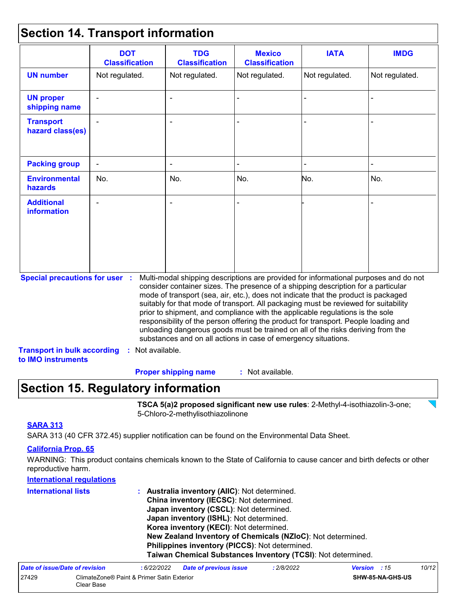## **Section 14. Transport information**

|                                                                                                   | <b>DOT</b><br><b>Classification</b> | <b>TDG</b><br><b>Classification</b>                            | <b>Mexico</b><br><b>Classification</b> | <b>IATA</b>                                                                                                                                                                                                                                                                                                                                                                                                                                                                                                                                                                                                       | <b>IMDG</b>    |
|---------------------------------------------------------------------------------------------------|-------------------------------------|----------------------------------------------------------------|----------------------------------------|-------------------------------------------------------------------------------------------------------------------------------------------------------------------------------------------------------------------------------------------------------------------------------------------------------------------------------------------------------------------------------------------------------------------------------------------------------------------------------------------------------------------------------------------------------------------------------------------------------------------|----------------|
| <b>UN number</b>                                                                                  | Not regulated.                      | Not regulated.                                                 | Not regulated.                         | Not regulated.                                                                                                                                                                                                                                                                                                                                                                                                                                                                                                                                                                                                    | Not regulated. |
| <b>UN proper</b><br>shipping name                                                                 |                                     |                                                                |                                        |                                                                                                                                                                                                                                                                                                                                                                                                                                                                                                                                                                                                                   |                |
| <b>Transport</b><br>hazard class(es)                                                              |                                     |                                                                |                                        |                                                                                                                                                                                                                                                                                                                                                                                                                                                                                                                                                                                                                   |                |
| <b>Packing group</b>                                                                              |                                     |                                                                |                                        |                                                                                                                                                                                                                                                                                                                                                                                                                                                                                                                                                                                                                   |                |
| <b>Environmental</b><br>hazards                                                                   | No.                                 | No.                                                            | No.                                    | No.                                                                                                                                                                                                                                                                                                                                                                                                                                                                                                                                                                                                               | No.            |
| <b>Additional</b><br><b>information</b>                                                           |                                     |                                                                |                                        |                                                                                                                                                                                                                                                                                                                                                                                                                                                                                                                                                                                                                   |                |
| <b>Special precautions for user :</b><br><b>Transport in bulk according</b><br>to IMO instruments | : Not available.                    | substances and on all actions in case of emergency situations. |                                        | Multi-modal shipping descriptions are provided for informational purposes and do not<br>consider container sizes. The presence of a shipping description for a particular<br>mode of transport (sea, air, etc.), does not indicate that the product is packaged<br>suitably for that mode of transport. All packaging must be reviewed for suitability<br>prior to shipment, and compliance with the applicable regulations is the sole<br>responsibility of the person offering the product for transport. People loading and<br>unloading dangerous goods must be trained on all of the risks deriving from the |                |

## **Section 15. Regulatory information**

**TSCA 5(a)2 proposed significant new use rules**: 2-Methyl-4-isothiazolin-3-one; 5-Chloro-2-methylisothiazolinone

#### **SARA 313**

SARA 313 (40 CFR 372.45) supplier notification can be found on the Environmental Data Sheet.

#### **California Prop. 65**

WARNING: This product contains chemicals known to the State of California to cause cancer and birth defects or other reproductive harm.

| <b>International regulations</b> |                                                              |
|----------------------------------|--------------------------------------------------------------|
| <b>International lists</b>       | Australia inventory (AIIC): Not determined.<br>t.            |
|                                  | China inventory (IECSC): Not determined.                     |
|                                  | Japan inventory (CSCL): Not determined.                      |
|                                  | Japan inventory (ISHL): Not determined.                      |
|                                  | Korea inventory (KECI): Not determined.                      |
|                                  | New Zealand Inventory of Chemicals (NZIoC): Not determined.  |
|                                  | Philippines inventory (PICCS): Not determined.               |
|                                  | Taiwan Chemical Substances Inventory (TCSI): Not determined. |
|                                  |                                                              |

| Date of issue/Date of revision |                                                          | : 6/22/2022 | <b>Date of previous issue</b> | 2/8/2022 | <b>Version</b> : 15 |                         | 10/12 |
|--------------------------------|----------------------------------------------------------|-------------|-------------------------------|----------|---------------------|-------------------------|-------|
| 27429                          | ClimateZone® Paint & Primer Satin Exterior<br>Clear Base |             |                               |          |                     | <b>SHW-85-NA-GHS-US</b> |       |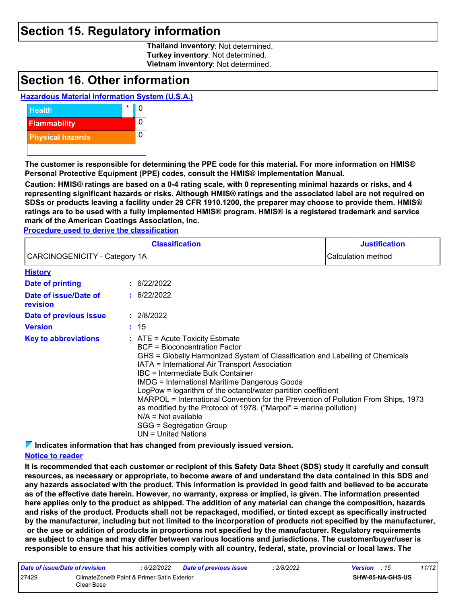### **Section 15. Regulatory information**

**Thailand inventory**: Not determined. **Turkey inventory**: Not determined. **Vietnam inventory**: Not determined.

### **Section 16. Other information**

#### **Hazardous Material Information System (U.S.A.)**



**The customer is responsible for determining the PPE code for this material. For more information on HMIS® Personal Protective Equipment (PPE) codes, consult the HMIS® Implementation Manual.**

**Caution: HMIS® ratings are based on a 0-4 rating scale, with 0 representing minimal hazards or risks, and 4 representing significant hazards or risks. Although HMIS® ratings and the associated label are not required on SDSs or products leaving a facility under 29 CFR 1910.1200, the preparer may choose to provide them. HMIS® ratings are to be used with a fully implemented HMIS® program. HMIS® is a registered trademark and service mark of the American Coatings Association, Inc.**

**Procedure used to derive the classification**

|                                   |  | <b>Classification</b>                                                                                                                                                                                                                                                                                                                                                                                                                                                                                                                                                                                             | <b>Justification</b> |
|-----------------------------------|--|-------------------------------------------------------------------------------------------------------------------------------------------------------------------------------------------------------------------------------------------------------------------------------------------------------------------------------------------------------------------------------------------------------------------------------------------------------------------------------------------------------------------------------------------------------------------------------------------------------------------|----------------------|
| CARCINOGENICITY - Category 1A     |  |                                                                                                                                                                                                                                                                                                                                                                                                                                                                                                                                                                                                                   | Calculation method   |
| <b>History</b>                    |  |                                                                                                                                                                                                                                                                                                                                                                                                                                                                                                                                                                                                                   |                      |
| Date of printing                  |  | : 6/22/2022                                                                                                                                                                                                                                                                                                                                                                                                                                                                                                                                                                                                       |                      |
| Date of issue/Date of<br>revision |  | : 6/22/2022                                                                                                                                                                                                                                                                                                                                                                                                                                                                                                                                                                                                       |                      |
| Date of previous issue            |  | : 2/8/2022                                                                                                                                                                                                                                                                                                                                                                                                                                                                                                                                                                                                        |                      |
| <b>Version</b>                    |  | : 15                                                                                                                                                                                                                                                                                                                                                                                                                                                                                                                                                                                                              |                      |
| <b>Key to abbreviations</b>       |  | $:$ ATE = Acute Toxicity Estimate<br><b>BCF</b> = Bioconcentration Factor<br>GHS = Globally Harmonized System of Classification and Labelling of Chemicals<br>IATA = International Air Transport Association<br>IBC = Intermediate Bulk Container<br><b>IMDG = International Maritime Dangerous Goods</b><br>LogPow = logarithm of the octanol/water partition coefficient<br>MARPOL = International Convention for the Prevention of Pollution From Ships, 1973<br>as modified by the Protocol of 1978. ("Marpol" = marine pollution)<br>$N/A = Not available$<br>SGG = Segregation Group<br>UN = United Nations |                      |

**Indicates information that has changed from previously issued version.**

#### **Notice to reader**

**It is recommended that each customer or recipient of this Safety Data Sheet (SDS) study it carefully and consult resources, as necessary or appropriate, to become aware of and understand the data contained in this SDS and any hazards associated with the product. This information is provided in good faith and believed to be accurate as of the effective date herein. However, no warranty, express or implied, is given. The information presented here applies only to the product as shipped. The addition of any material can change the composition, hazards and risks of the product. Products shall not be repackaged, modified, or tinted except as specifically instructed by the manufacturer, including but not limited to the incorporation of products not specified by the manufacturer, or the use or addition of products in proportions not specified by the manufacturer. Regulatory requirements are subject to change and may differ between various locations and jurisdictions. The customer/buyer/user is responsible to ensure that his activities comply with all country, federal, state, provincial or local laws. The** 

| Date of issue/Date of revision |                                                          | : 6/22/2022 | <b>Date of previous issue</b> | : 2/8/2022 | <b>Version</b> : 15 |                         | 11/12 |
|--------------------------------|----------------------------------------------------------|-------------|-------------------------------|------------|---------------------|-------------------------|-------|
| 27429                          | ClimateZone® Paint & Primer Satin Exterior<br>Clear Base |             |                               |            |                     | <b>SHW-85-NA-GHS-US</b> |       |